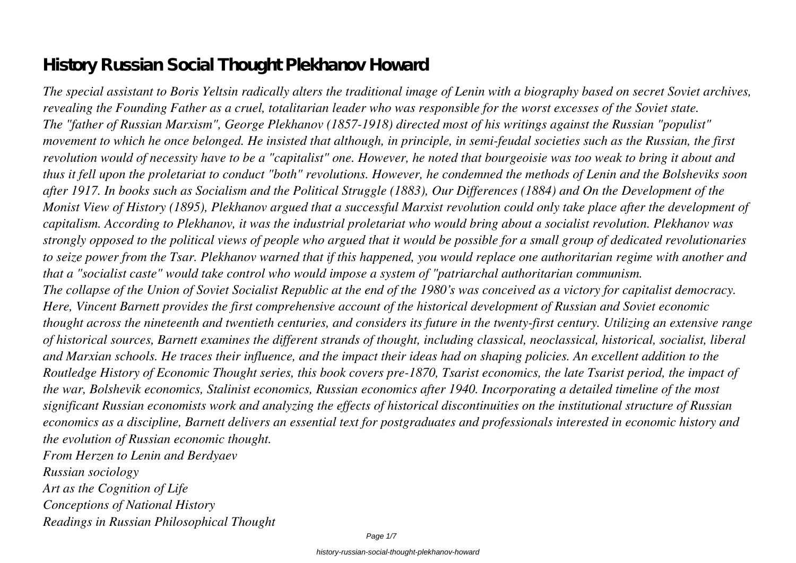# **History Russian Social Thought Plekhanov Howard**

*The special assistant to Boris Yeltsin radically alters the traditional image of Lenin with a biography based on secret Soviet archives, revealing the Founding Father as a cruel, totalitarian leader who was responsible for the worst excesses of the Soviet state. The "father of Russian Marxism", George Plekhanov (1857-1918) directed most of his writings against the Russian "populist" movement to which he once belonged. He insisted that although, in principle, in semi-feudal societies such as the Russian, the first revolution would of necessity have to be a "capitalist" one. However, he noted that bourgeoisie was too weak to bring it about and thus it fell upon the proletariat to conduct "both" revolutions. However, he condemned the methods of Lenin and the Bolsheviks soon after 1917. In books such as Socialism and the Political Struggle (1883), Our Differences (1884) and On the Development of the Monist View of History (1895), Plekhanov argued that a successful Marxist revolution could only take place after the development of capitalism. According to Plekhanov, it was the industrial proletariat who would bring about a socialist revolution. Plekhanov was strongly opposed to the political views of people who argued that it would be possible for a small group of dedicated revolutionaries to seize power from the Tsar. Plekhanov warned that if this happened, you would replace one authoritarian regime with another and that a "socialist caste" would take control who would impose a system of "patriarchal authoritarian communism. The collapse of the Union of Soviet Socialist Republic at the end of the 1980's was conceived as a victory for capitalist democracy. Here, Vincent Barnett provides the first comprehensive account of the historical development of Russian and Soviet economic thought across the nineteenth and twentieth centuries, and considers its future in the twenty-first century. Utilizing an extensive range of historical sources, Barnett examines the different strands of thought, including classical, neoclassical, historical, socialist, liberal and Marxian schools. He traces their influence, and the impact their ideas had on shaping policies. An excellent addition to the Routledge History of Economic Thought series, this book covers pre-1870, Tsarist economics, the late Tsarist period, the impact of the war, Bolshevik economics, Stalinist economics, Russian economics after 1940. Incorporating a detailed timeline of the most significant Russian economists work and analyzing the effects of historical discontinuities on the institutional structure of Russian economics as a discipline, Barnett delivers an essential text for postgraduates and professionals interested in economic history and the evolution of Russian economic thought.*

*From Herzen to Lenin and Berdyaev Russian sociology Art as the Cognition of Life Conceptions of National History Readings in Russian Philosophical Thought*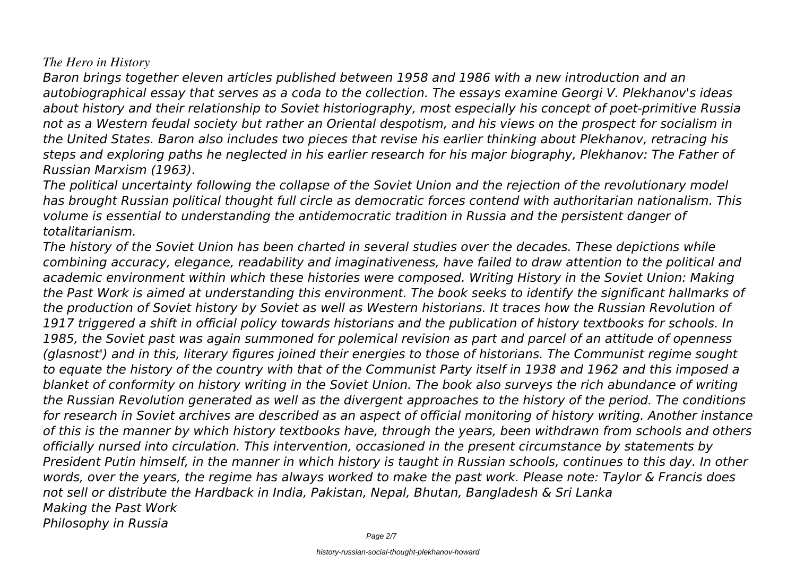### *The Hero in History*

*Baron brings together eleven articles published between 1958 and 1986 with a new introduction and an autobiographical essay that serves as a coda to the collection. The essays examine Georgi V. Plekhanov's ideas about history and their relationship to Soviet historiography, most especially his concept of poet-primitive Russia not as a Western feudal society but rather an Oriental despotism, and his views on the prospect for socialism in the United States. Baron also includes two pieces that revise his earlier thinking about Plekhanov, retracing his steps and exploring paths he neglected in his earlier research for his major biography, Plekhanov: The Father of Russian Marxism (1963).*

*The political uncertainty following the collapse of the Soviet Union and the rejection of the revolutionary model has brought Russian political thought full circle as democratic forces contend with authoritarian nationalism. This volume is essential to understanding the antidemocratic tradition in Russia and the persistent danger of totalitarianism.*

*The history of the Soviet Union has been charted in several studies over the decades. These depictions while combining accuracy, elegance, readability and imaginativeness, have failed to draw attention to the political and academic environment within which these histories were composed. Writing History in the Soviet Union: Making the Past Work is aimed at understanding this environment. The book seeks to identify the significant hallmarks of the production of Soviet history by Soviet as well as Western historians. It traces how the Russian Revolution of 1917 triggered a shift in official policy towards historians and the publication of history textbooks for schools. In 1985, the Soviet past was again summoned for polemical revision as part and parcel of an attitude of openness (glasnost') and in this, literary figures joined their energies to those of historians. The Communist regime sought to equate the history of the country with that of the Communist Party itself in 1938 and 1962 and this imposed a blanket of conformity on history writing in the Soviet Union. The book also surveys the rich abundance of writing the Russian Revolution generated as well as the divergent approaches to the history of the period. The conditions for research in Soviet archives are described as an aspect of official monitoring of history writing. Another instance of this is the manner by which history textbooks have, through the years, been withdrawn from schools and others officially nursed into circulation. This intervention, occasioned in the present circumstance by statements by President Putin himself, in the manner in which history is taught in Russian schools, continues to this day. In other words, over the years, the regime has always worked to make the past work. Please note: Taylor & Francis does not sell or distribute the Hardback in India, Pakistan, Nepal, Bhutan, Bangladesh & Sri Lanka Making the Past Work Philosophy in Russia*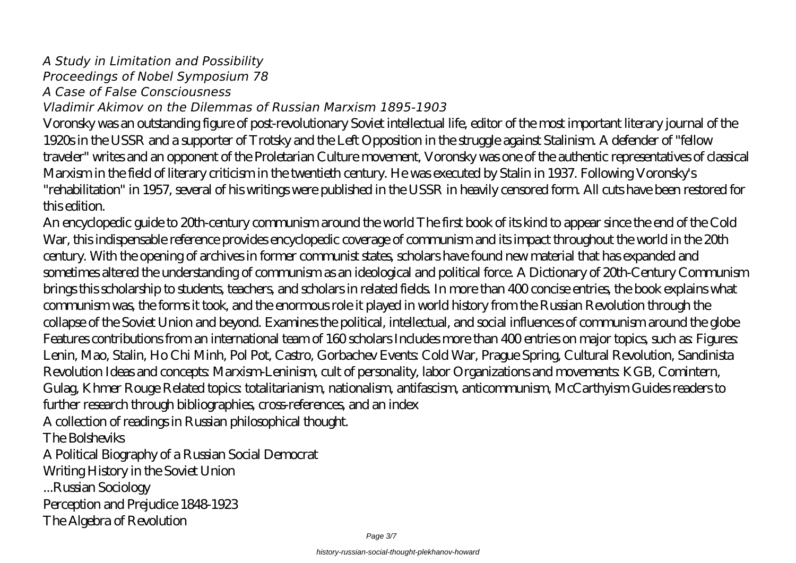# *A Study in Limitation and Possibility*

*Proceedings of Nobel Symposium 78*

*A Case of False Consciousness*

## *Vladimir Akimov on the Dilemmas of Russian Marxism 1895-1903*

Voronsky was an outstanding figure of post-revolutionary Soviet intellectual life, editor of the most important literary journal of the 1920s in the USSR and a supporter of Trotsky and the Left Opposition in the struggle against Stalinism. A defender of "fellow traveler" writes and an opponent of the Proletarian Culture movement, Voronsky was one of the authentic representatives of classical Marxism in the field of literary criticism in the twentieth century. He was executed by Stalin in 1937. Following Voronsky's "rehabilitation" in 1957, several of his writings were published in the USSR in heavily censored form. All cuts have been restored for this edition.

An encyclopedic guide to 20th-century communism around the world The first book of its kind to appear since the end of the Cold War, this indispensable reference provides encyclopedic coverage of communism and its impact throughout the world in the 20th century. With the opening of archives in former communist states, scholars have found new material that has expanded and sometimes altered the understanding of communism as an ideological and political force. A Dictionary of 20th-Century Communism brings this scholarship to students, teachers, and scholars in related fields. In more than 400 concise entries, the book explains what communism was, the forms it took, and the enormous role it played in world history from the Russian Revolution through the collapse of the Soviet Union and beyond. Examines the political, intellectual, and social influences of communism around the globe Features contributions from an international team of 160 scholars Includes more than 400 entries on major topics, such as: Figures: Lenin, Mao, Stalin, Ho Chi Minh, Pol Pot, Castro, Gorbachev Events: Cold War, Prague Spring, Cultural Revolution, Sandinista Revolution Ideas and concepts: Marxism-Leninism, cult of personality, labor Organizations and movements: KGB, Comintern, Gulag, Khmer Rouge Related topics: totalitarianism, nationalism, antifascism, anticommunism, McCarthyism Guides readers to further research through bibliographies, cross-references, and an index A collection of readings in Russian philosophical thought.

The Bolsheviks

A Political Biography of a Russian Social Democrat

Writing History in the Soviet Union

...Russian Sociology

Perception and Prejudice 1848-1923

The Algebra of Revolution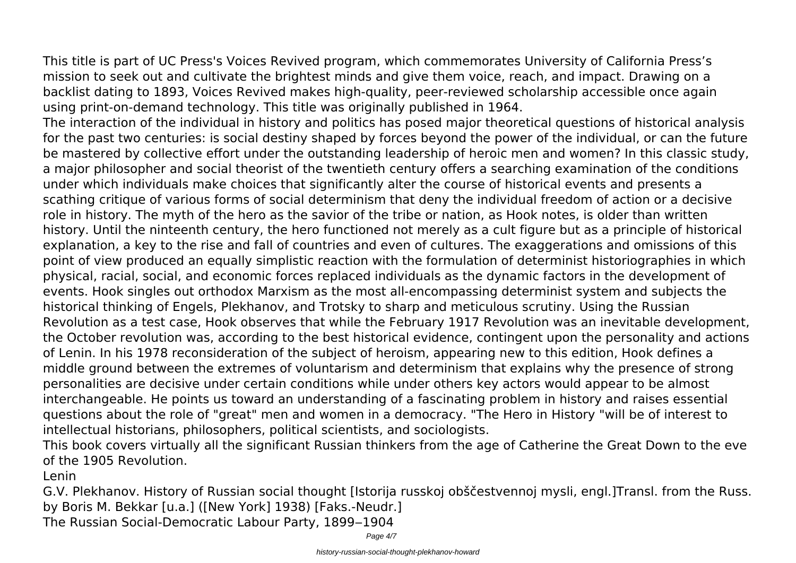This title is part of UC Press's Voices Revived program, which commemorates University of California Press's mission to seek out and cultivate the brightest minds and give them voice, reach, and impact. Drawing on a backlist dating to 1893, Voices Revived makes high-quality, peer-reviewed scholarship accessible once again using print-on-demand technology. This title was originally published in 1964.

The interaction of the individual in history and politics has posed major theoretical questions of historical analysis for the past two centuries: is social destiny shaped by forces beyond the power of the individual, or can the future be mastered by collective effort under the outstanding leadership of heroic men and women? In this classic study, a major philosopher and social theorist of the twentieth century offers a searching examination of the conditions under which individuals make choices that significantly alter the course of historical events and presents a scathing critique of various forms of social determinism that deny the individual freedom of action or a decisive role in history. The myth of the hero as the savior of the tribe or nation, as Hook notes, is older than written history. Until the ninteenth century, the hero functioned not merely as a cult figure but as a principle of historical explanation, a key to the rise and fall of countries and even of cultures. The exaggerations and omissions of this point of view produced an equally simplistic reaction with the formulation of determinist historiographies in which physical, racial, social, and economic forces replaced individuals as the dynamic factors in the development of events. Hook singles out orthodox Marxism as the most all-encompassing determinist system and subjects the historical thinking of Engels, Plekhanov, and Trotsky to sharp and meticulous scrutiny. Using the Russian Revolution as a test case, Hook observes that while the February 1917 Revolution was an inevitable development, the October revolution was, according to the best historical evidence, contingent upon the personality and actions of Lenin. In his 1978 reconsideration of the subject of heroism, appearing new to this edition, Hook defines a middle ground between the extremes of voluntarism and determinism that explains why the presence of strong personalities are decisive under certain conditions while under others key actors would appear to be almost interchangeable. He points us toward an understanding of a fascinating problem in history and raises essential questions about the role of "great" men and women in a democracy. "The Hero in History "will be of interest to intellectual historians, philosophers, political scientists, and sociologists.

This book covers virtually all the significant Russian thinkers from the age of Catherine the Great Down to the eve of the 1905 Revolution.

Lenin

G.V. Plekhanov. History of Russian social thought [Istorija russkoj obščestvennoj mysli, engl.]Transl. from the Russ. by Boris M. Bekkar [u.a.] ([New York] 1938) [Faks.-Neudr.]

The Russian Social-Democratic Labour Party, 1899-1904

Page  $4/7$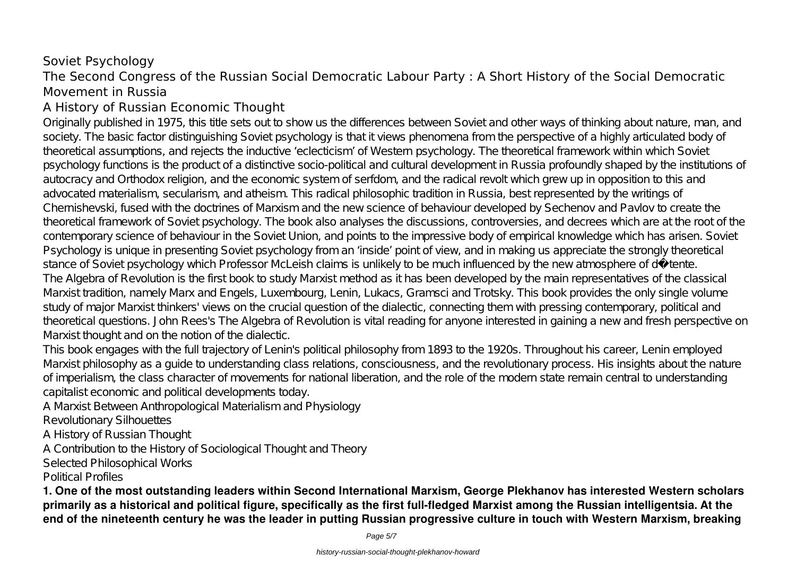## Soviet Psychology The Second Congress of the Russian Social Democratic Labour Party : A Short History of the Social Democratic Movement in Russia

## A History of Russian Economic Thought

Originally published in 1975, this title sets out to show us the differences between Soviet and other ways of thinking about nature, man, and society. The basic factor distinguishing Soviet psychology is that it views phenomena from the perspective of a highly articulated body of theoretical assumptions, and rejects the inductive 'eclecticism' of Western psychology. The theoretical framework within which Soviet psychology functions is the product of a distinctive socio-political and cultural development in Russia profoundly shaped by the institutions of autocracy and Orthodox religion, and the economic system of serfdom, and the radical revolt which grew up in opposition to this and advocated materialism, secularism, and atheism. This radical philosophic tradition in Russia, best represented by the writings of Chernishevski, fused with the doctrines of Marxism and the new science of behaviour developed by Sechenov and Pavlov to create the theoretical framework of Soviet psychology. The book also analyses the discussions, controversies, and decrees which are at the root of the contemporary science of behaviour in the Soviet Union, and points to the impressive body of empirical knowledge which has arisen. Soviet Psychology is unique in presenting Soviet psychology from an 'inside' point of view, and in making us appreciate the strongly theoretical stance of Soviet psychology which Professor McLeish claims is unlikely to be much influenced by the new atmosphere of détente. The Algebra of Revolution is the first book to study Marxist method as it has been developed by the main representatives of the classical Marxist tradition, namely Marx and Engels, Luxembourg, Lenin, Lukacs, Gramsci and Trotsky. This book provides the only single volume study of major Marxist thinkers' views on the crucial question of the dialectic, connecting them with pressing contemporary, political and theoretical questions. John Rees's The Algebra of Revolution is vital reading for anyone interested in gaining a new and fresh perspective on Marxist thought and on the notion of the dialectic.

This book engages with the full trajectory of Lenin's political philosophy from 1893 to the 1920s. Throughout his career, Lenin employed Marxist philosophy as a guide to understanding class relations, consciousness, and the revolutionary process. His insights about the nature of imperialism, the class character of movements for national liberation, and the role of the modern state remain central to understanding capitalist economic and political developments today.

A Marxist Between Anthropological Materialism and Physiology

Revolutionary Silhouettes

A History of Russian Thought

A Contribution to the History of Sociological Thought and Theory

Selected Philosophical Works

Political Profiles

**1. One of the most outstanding leaders within Second International Marxism, George Plekhanov has interested Western scholars primarily as a historical and political figure, specifically as the first full-fledged Marxist among the Russian intelligentsia. At the end of the nineteenth century he was the leader in putting Russian progressive culture in touch with Western Marxism, breaking**

Page 5/7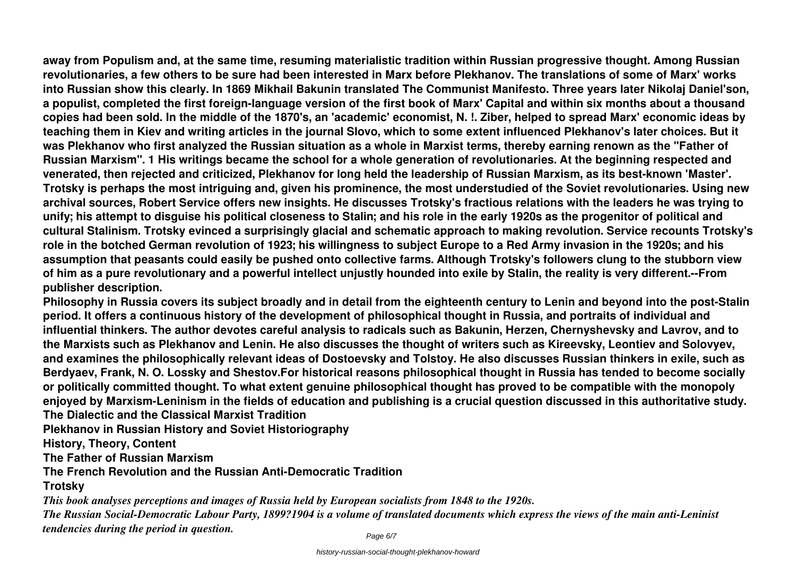**away from Populism and, at the same time, resuming materialistic tradition within Russian progressive thought. Among Russian revolutionaries, a few others to be sure had been interested in Marx before Plekhanov. The translations of some of Marx' works into Russian show this clearly. In 1869 Mikhail Bakunin translated The Communist Manifesto. Three years later Nikolaj Daniel'son, a populist, completed the first foreign-language version of the first book of Marx' Capital and within six months about a thousand copies had been sold. In the middle of the 1870's, an 'academic' economist, N. !. Ziber, helped to spread Marx' economic ideas by teaching them in Kiev and writing articles in the journal Slovo, which to some extent influenced Plekhanov's later choices. But it was Plekhanov who first analyzed the Russian situation as a whole in Marxist terms, thereby earning renown as the "Father of Russian Marxism". 1 His writings became the school for a whole generation of revolutionaries. At the beginning respected and venerated, then rejected and criticized, Plekhanov for long held the leadership of Russian Marxism, as its best-known 'Master'. Trotsky is perhaps the most intriguing and, given his prominence, the most understudied of the Soviet revolutionaries. Using new archival sources, Robert Service offers new insights. He discusses Trotsky's fractious relations with the leaders he was trying to unify; his attempt to disguise his political closeness to Stalin; and his role in the early 1920s as the progenitor of political and cultural Stalinism. Trotsky evinced a surprisingly glacial and schematic approach to making revolution. Service recounts Trotsky's role in the botched German revolution of 1923; his willingness to subject Europe to a Red Army invasion in the 1920s; and his assumption that peasants could easily be pushed onto collective farms. Although Trotsky's followers clung to the stubborn view of him as a pure revolutionary and a powerful intellect unjustly hounded into exile by Stalin, the reality is very different.--From publisher description.**

**Philosophy in Russia covers its subject broadly and in detail from the eighteenth century to Lenin and beyond into the post-Stalin period. It offers a continuous history of the development of philosophical thought in Russia, and portraits of individual and influential thinkers. The author devotes careful analysis to radicals such as Bakunin, Herzen, Chernyshevsky and Lavrov, and to the Marxists such as Plekhanov and Lenin. He also discusses the thought of writers such as Kireevsky, Leontiev and Solovyev, and examines the philosophically relevant ideas of Dostoevsky and Tolstoy. He also discusses Russian thinkers in exile, such as Berdyaev, Frank, N. O. Lossky and Shestov.For historical reasons philosophical thought in Russia has tended to become socially or politically committed thought. To what extent genuine philosophical thought has proved to be compatible with the monopoly enjoyed by Marxism-Leninism in the fields of education and publishing is a crucial question discussed in this authoritative study. The Dialectic and the Classical Marxist Tradition**

**Plekhanov in Russian History and Soviet Historiography**

**History, Theory, Content**

**The Father of Russian Marxism**

**The French Revolution and the Russian Anti-Democratic Tradition**

#### **Trotsky**

*This book analyses perceptions and images of Russia held by European socialists from 1848 to the 1920s.*

*The Russian Social-Democratic Labour Party, 1899?1904 is a volume of translated documents which express the views of the main anti-Leninist tendencies during the period in question.*